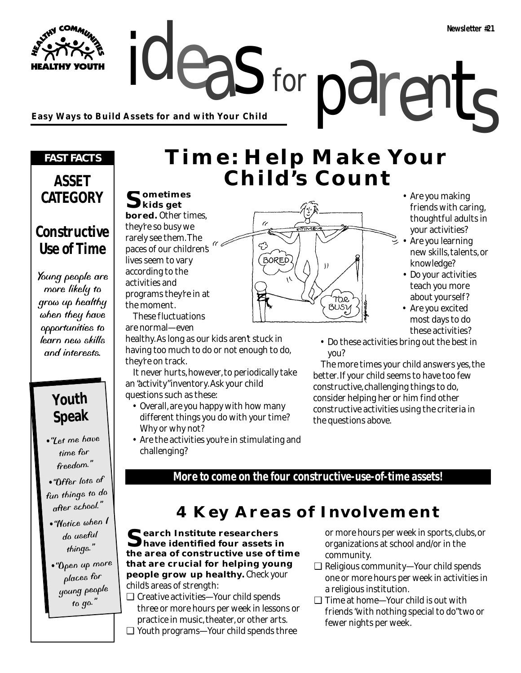

**Easy Ways to Build Assets for and with Your Child**

#### *FAST FACTS*

**ASSET CATEGORY**

### **Constructive Use of Time**

Young people are more likely to grow up healthy when they have opportunities to learn new skills and interests.

## **Youth Speak**

- •"Let me have time for freedom."
- •"Offer lots o<sup>f</sup> fun things to do after school."
- •"Notice when I do useful things."
- •"Open up more <sup>p</sup>laces for young people to go."

# ideas for parents **Time: Help Make Your Child's Count**

for

# **Sometimes kids get**

**bored.** Other times, they're so busy we rarely see them. The paces of our children's lives seem to vary according to the activities and programs they're in at the moment.

These fluctuations are normal—even

healthy. As long as our kids aren't stuck in having too much to do or not enough to do, they're on track.

It never hurts, however, to periodically take an "activity" inventory. Ask your child questions such as these:

- Overall, are you happy with how many different things you do with your time? Why or why not?
- Are the activities you're in stimulating and challenging?



- Are you making friends with caring, thoughtful adults in your activities?
- Are you learning new skills, talents, or knowledge?
	- Do your activities teach you more about yourself?
- Are you excited most days to do these activities?
- Do these activities bring out the best in you?

The more times your child answers yes, the better. If your child seems to have too few constructive, challenging things to do, consider helping her or him find other constructive activities using the criteria in the questions above.

### **More to come on the four constructive-use-of-time assets!**

# **4 Key Areas of Involvement**

**Search Institute researchers have identified four assets in the area of constructive use of time that are crucial for helping young people grow up healthy.** Check your child's areas of strength:

❑ Creative activities—Your child spends three or more hours per week in lessons or practice in music, theater, or other arts. ❑ Youth programs—Your child spends three

or more hours per week in sports, clubs, or organizations at school and/or in the community.

- $\Box$  Religious community—Your child spends one or more hours per week in activities in a religious institution.
- ❑ Time at home—Your child is out with friends "with nothing special to do" two or fewer nights per week.